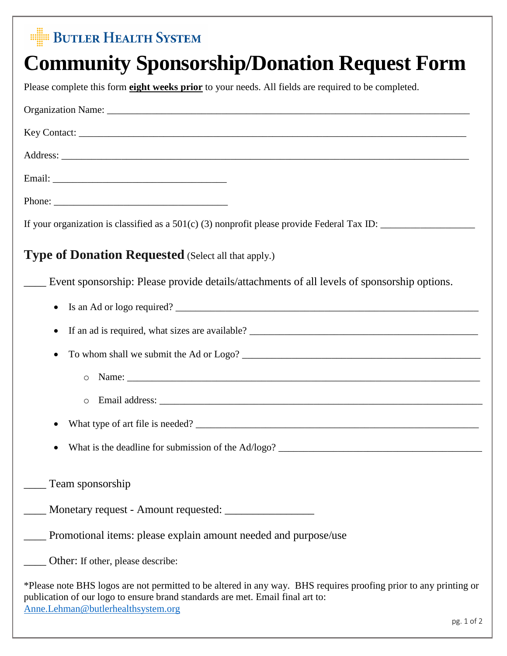## **BUTLER HEALTH SYSTEM**

## **Community Sponsorship/Donation Request Form**

Please complete this form **eight weeks prior** to your needs. All fields are required to be completed.

| <b>Type of Donation Requested</b> (Select all that apply.)                                                                                                                                                                                |
|-------------------------------------------------------------------------------------------------------------------------------------------------------------------------------------------------------------------------------------------|
| Event sponsorship: Please provide details/attachments of all levels of sponsorship options.                                                                                                                                               |
| $\bullet$                                                                                                                                                                                                                                 |
| $\bullet$                                                                                                                                                                                                                                 |
| $\bullet$                                                                                                                                                                                                                                 |
| $\circ$                                                                                                                                                                                                                                   |
| $\circ$                                                                                                                                                                                                                                   |
|                                                                                                                                                                                                                                           |
|                                                                                                                                                                                                                                           |
| Team sponsorship                                                                                                                                                                                                                          |
|                                                                                                                                                                                                                                           |
| Promotional items: please explain amount needed and purpose/use                                                                                                                                                                           |
| Other: If other, please describe:                                                                                                                                                                                                         |
| *Please note BHS logos are not permitted to be altered in any way. BHS requires proofing prior to any printing or<br>publication of our logo to ensure brand standards are met. Email final art to:<br>Anne.Lehman@butlerhealthsystem.org |